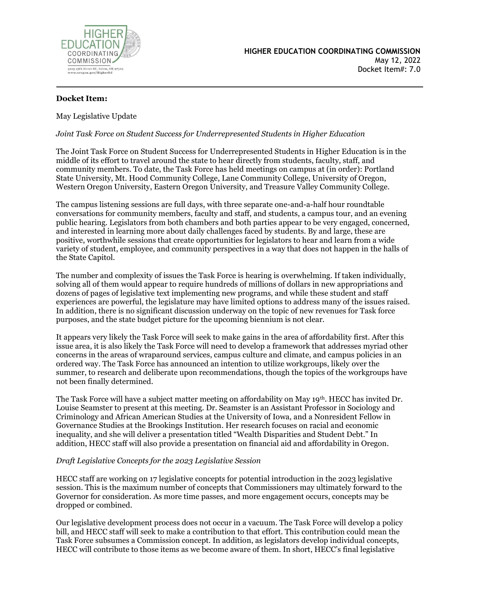

## **Docket Item:**

May Legislative Update

### *Joint Task Force on Student Success for Underrepresented Students in Higher Education*

The Joint Task Force on Student Success for Underrepresented Students in Higher Education is in the middle of its effort to travel around the state to hear directly from students, faculty, staff, and community members. To date, the Task Force has held meetings on campus at (in order): Portland State University, Mt. Hood Community College, Lane Community College, University of Oregon, Western Oregon University, Eastern Oregon University, and Treasure Valley Community College.

The campus listening sessions are full days, with three separate one-and-a-half hour roundtable conversations for community members, faculty and staff, and students, a campus tour, and an evening public hearing. Legislators from both chambers and both parties appear to be very engaged, concerned, and interested in learning more about daily challenges faced by students. By and large, these are positive, worthwhile sessions that create opportunities for legislators to hear and learn from a wide variety of student, employee, and community perspectives in a way that does not happen in the halls of the State Capitol.

The number and complexity of issues the Task Force is hearing is overwhelming. If taken individually, solving all of them would appear to require hundreds of millions of dollars in new appropriations and dozens of pages of legislative text implementing new programs, and while these student and staff experiences are powerful, the legislature may have limited options to address many of the issues raised. In addition, there is no significant discussion underway on the topic of new revenues for Task force purposes, and the state budget picture for the upcoming biennium is not clear.

It appears very likely the Task Force will seek to make gains in the area of affordability first. After this issue area, it is also likely the Task Force will need to develop a framework that addresses myriad other concerns in the areas of wraparound services, campus culture and climate, and campus policies in an ordered way. The Task Force has announced an intention to utilize workgroups, likely over the summer, to research and deliberate upon recommendations, though the topics of the workgroups have not been finally determined.

The Task Force will have a subject matter meeting on affordability on May 19th. HECC has invited Dr. Louise Seamster to present at this meeting. Dr. Seamster is an Assistant Professor in Sociology and Criminology and African American Studies at the University of Iowa, and a Nonresident Fellow in Governance Studies at the Brookings Institution. Her research focuses on racial and economic inequality, and she will deliver a presentation titled "Wealth Disparities and Student Debt." In addition, HECC staff will also provide a presentation on financial aid and affordability in Oregon.

#### *Draft Legislative Concepts for the 2023 Legislative Session*

HECC staff are working on 17 legislative concepts for potential introduction in the 2023 legislative session. This is the maximum number of concepts that Commissioners may ultimately forward to the Governor for consideration. As more time passes, and more engagement occurs, concepts may be dropped or combined.

Our legislative development process does not occur in a vacuum. The Task Force will develop a policy bill, and HECC staff will seek to make a contribution to that effort. This contribution could mean the Task Force subsumes a Commission concept. In addition, as legislators develop individual concepts, HECC will contribute to those items as we become aware of them. In short, HECC's final legislative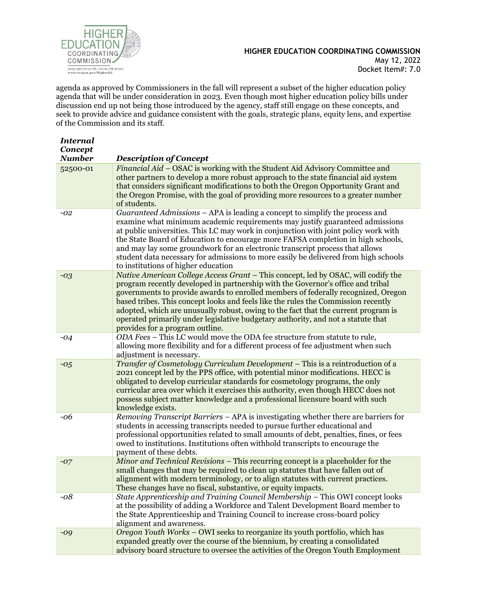

agenda as approved by Commissioners in the fall will represent a subset of the higher education policy agenda that will be under consideration in 2023. Even though most higher education policy bills under discussion end up not being those introduced by the agency, staff still engage on these concepts, and seek to provide advice and guidance consistent with the goals, strategic plans, equity lens, and expertise of the Commission and its staff.

| <b>Internal</b> |                                                                                                                                                                                                                                                                                                                                                                                                                                                                                                                                                             |
|-----------------|-------------------------------------------------------------------------------------------------------------------------------------------------------------------------------------------------------------------------------------------------------------------------------------------------------------------------------------------------------------------------------------------------------------------------------------------------------------------------------------------------------------------------------------------------------------|
| Concept         |                                                                                                                                                                                                                                                                                                                                                                                                                                                                                                                                                             |
| <b>Number</b>   | <b>Description of Concept</b>                                                                                                                                                                                                                                                                                                                                                                                                                                                                                                                               |
| 52500-01        | Financial Aid - OSAC is working with the Student Aid Advisory Committee and<br>other partners to develop a more robust approach to the state financial aid system<br>that considers significant modifications to both the Oregon Opportunity Grant and<br>the Oregon Promise, with the goal of providing more resources to a greater number<br>of students.                                                                                                                                                                                                 |
| -02             | Guaranteed Admissions - APA is leading a concept to simplify the process and<br>examine what minimum academic requirements may justify guaranteed admissions<br>at public universities. This LC may work in conjunction with joint policy work with<br>the State Board of Education to encourage more FAFSA completion in high schools,<br>and may lay some groundwork for an electronic transcript process that allows<br>student data necessary for admissions to more easily be delivered from high schools<br>to institutions of higher education       |
| $-03$           | Native American College Access Grant - This concept, led by OSAC, will codify the<br>program recently developed in partnership with the Governor's office and tribal<br>governments to provide awards to enrolled members of federally recognized, Oregon<br>based tribes. This concept looks and feels like the rules the Commission recently<br>adopted, which are unusually robust, owing to the fact that the current program is<br>operated primarily under legislative budgetary authority, and not a statute that<br>provides for a program outline. |
| $-04$           | ODA Fees - This LC would move the ODA fee structure from statute to rule,<br>allowing more flexibility and for a different process of fee adjustment when such<br>adjustment is necessary.                                                                                                                                                                                                                                                                                                                                                                  |
| $-0.5$          | Transfer of Cosmetology Curriculum Development - This is a reintroduction of a<br>2021 concept led by the PPS office, with potential minor modifications. HECC is<br>obligated to develop curricular standards for cosmetology programs, the only<br>curricular area over which it exercises this authority, even though HECC does not<br>possess subject matter knowledge and a professional licensure board with such<br>knowledge exists.                                                                                                                |
| -06             | Removing Transcript Barriers – APA is investigating whether there are barriers for<br>students in accessing transcripts needed to pursue further educational and<br>professional opportunities related to small amounts of debt, penalties, fines, or fees<br>owed to institutions. Institutions often withhold transcripts to encourage the<br>payment of these debts.                                                                                                                                                                                     |
| $-07$           | Minor and Technical Revisions – This recurring concept is a placeholder for the<br>small changes that may be required to clean up statutes that have fallen out of<br>alignment with modern terminology, or to align statutes with current practices.<br>These changes have no fiscal, substantive, or equity impacts.                                                                                                                                                                                                                                      |
| -08             | State Apprenticeship and Training Council Membership - This OWI concept looks<br>at the possibility of adding a Workforce and Talent Development Board member to<br>the State Apprenticeship and Training Council to increase cross-board policy<br>alignment and awareness.                                                                                                                                                                                                                                                                                |
| $-09$           | Oregon Youth Works – OWI seeks to reorganize its youth portfolio, which has<br>expanded greatly over the course of the biennium, by creating a consolidated<br>advisory board structure to oversee the activities of the Oregon Youth Employment                                                                                                                                                                                                                                                                                                            |